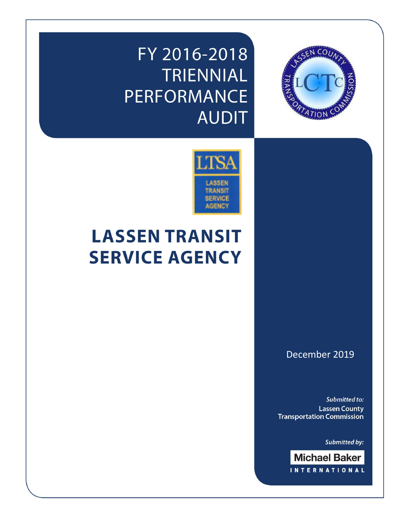# FY 2016-2018 TRIENNIAL **PERFORMANCE AUDIT**



# **LASSEN TRANSIT SERVICE AGENCY**

December 2019

**CO** 

**Submitted to: Lassen County Transportation Commission** 

**Submitted by:** 

**Michael Baker INTERNATIONAL**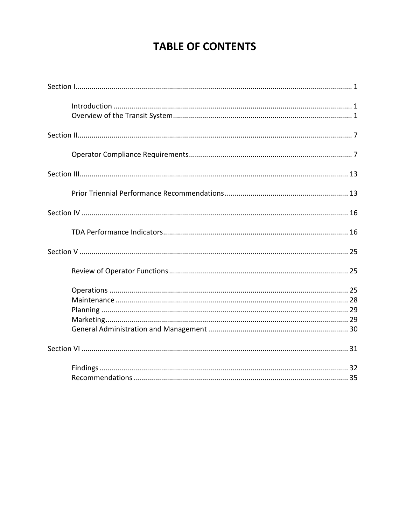# **TABLE OF CONTENTS**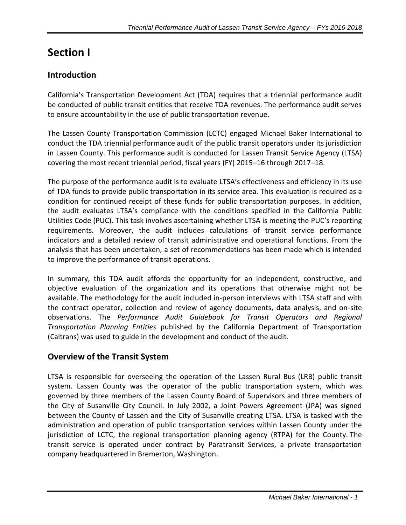# <span id="page-2-0"></span>**Section I**

# <span id="page-2-1"></span>**Introduction**

California's Transportation Development Act (TDA) requires that a triennial performance audit be conducted of public transit entities that receive TDA revenues. The performance audit serves to ensure accountability in the use of public transportation revenue.

The Lassen County Transportation Commission (LCTC) engaged Michael Baker International to conduct the TDA triennial performance audit of the public transit operators under its jurisdiction in Lassen County. This performance audit is conducted for Lassen Transit Service Agency (LTSA) covering the most recent triennial period, fiscal years (FY) 2015–16 through 2017–18.

The purpose of the performance audit is to evaluate LTSA's effectiveness and efficiency in its use of TDA funds to provide public transportation in its service area. This evaluation is required as a condition for continued receipt of these funds for public transportation purposes. In addition, the audit evaluates LTSA's compliance with the conditions specified in the California Public Utilities Code (PUC). This task involves ascertaining whether LTSA is meeting the PUC's reporting requirements. Moreover, the audit includes calculations of transit service performance indicators and a detailed review of transit administrative and operational functions. From the analysis that has been undertaken, a set of recommendations has been made which is intended to improve the performance of transit operations.

In summary, this TDA audit affords the opportunity for an independent, constructive, and objective evaluation of the organization and its operations that otherwise might not be available. The methodology for the audit included in-person interviews with LTSA staff and with the contract operator, collection and review of agency documents, data analysis, and on-site observations. The *Performance Audit Guidebook for Transit Operators and Regional Transportation Planning Entities* published by the California Department of Transportation (Caltrans) was used to guide in the development and conduct of the audit.

## <span id="page-2-2"></span>**Overview of the Transit System**

LTSA is responsible for overseeing the operation of the Lassen Rural Bus (LRB) public transit system. Lassen County was the operator of the public transportation system, which was governed by three members of the Lassen County Board of Supervisors and three members of the City of Susanville City Council. In July 2002, a Joint Powers Agreement (JPA) was signed between the County of Lassen and the City of Susanville creating LTSA. LTSA is tasked with the administration and operation of public transportation services within Lassen County under the jurisdiction of LCTC, the regional transportation planning agency (RTPA) for the County. The transit service is operated under contract by Paratransit Services, a private transportation company headquartered in Bremerton, Washington.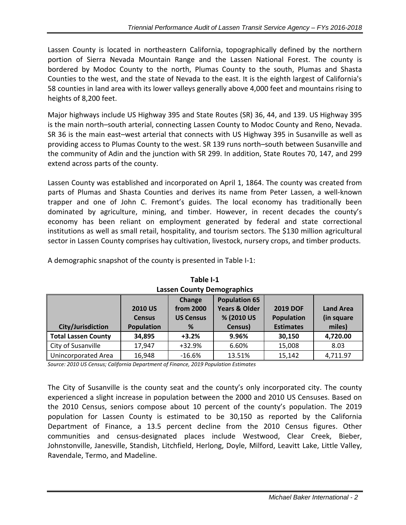Lassen County is located in northeastern California, topographically defined by the northern portion of Sierra Nevada Mountain Range and the Lassen National Forest. The county is bordered by Modoc County to the north, Plumas County to the south, Plumas and Shasta Counties to the west, and the state of Nevada to the east. It is the eighth largest of California's 58 counties in land area with its lower valleys generally above 4,000 feet and mountains rising to heights of 8,200 feet.

Major highways include US Highway 395 and State Routes (SR) 36, 44, and 139. US Highway 395 is the main north–south arterial, connecting Lassen County to Modoc County and Reno, Nevada. SR 36 is the main east–west arterial that connects with US Highway 395 in Susanville as well as providing access to Plumas County to the west. SR 139 runs north–south between Susanville and the community of Adin and the junction with SR 299. In addition, State Routes 70, 147, and 299 extend across parts of the county.

Lassen County was established and incorporated on April 1, 1864. The county was created from parts of Plumas and Shasta Counties and derives its name from Peter Lassen, a well-known trapper and one of John C. Fremont's guides. The local economy has traditionally been dominated by agriculture, mining, and timber. However, in recent decades the county's economy has been reliant on employment generated by federal and state correctional institutions as well as small retail, hospitality, and tourism sectors. The \$130 million agricultural sector in Lassen County comprises hay cultivation, livestock, nursery crops, and timber products.

A demographic snapshot of the county is presented in Table I-1:

| $-+++++++++$        |                   |                  |                          |                   |                  |
|---------------------|-------------------|------------------|--------------------------|-------------------|------------------|
|                     |                   | Change           | <b>Population 65</b>     |                   |                  |
|                     | <b>2010 US</b>    | from 2000        | <b>Years &amp; Older</b> | <b>2019 DOF</b>   | <b>Land Area</b> |
|                     | <b>Census</b>     | <b>US Census</b> | % (2010 US               | <b>Population</b> | (in square       |
| City/Jurisdiction   | <b>Population</b> | %                | Census)                  | <b>Estimates</b>  | miles)           |
| Total Lassen County | 34,895            | $+3.2%$          | 9.96%                    | 30,150            | 4,720.00         |
| City of Susanville  | 17,947            | +32.9%           | 6.60%                    | 15,008            | 8.03             |
| Unincorporated Area | 16,948            | $-16.6%$         | 13.51%                   | 15,142            | 4,711.97         |

**Lassen County Demographics**

**Table I-1**

*Source: 2010 US Census; California Department of Finance, 2019 Population Estimates*

The City of Susanville is the county seat and the county's only incorporated city. The county experienced a slight increase in population between the 2000 and 2010 US Censuses. Based on the 2010 Census, seniors compose about 10 percent of the county's population. The 2019 population for Lassen County is estimated to be 30,150 as reported by the California Department of Finance, a 13.5 percent decline from the 2010 Census figures. Other communities and census-designated places include Westwood, Clear Creek, Bieber, Johnstonville, Janesville, Standish, Litchfield, Herlong, Doyle, Milford, Leavitt Lake, Little Valley, Ravendale, Termo, and Madeline.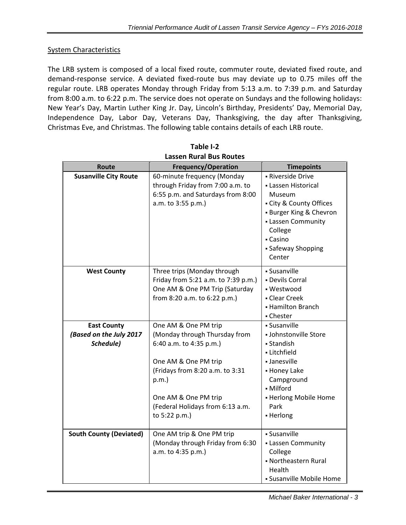#### **System Characteristics**

The LRB system is composed of a local fixed route, commuter route, deviated fixed route, and demand-response service. A deviated fixed-route bus may deviate up to 0.75 miles off the regular route. LRB operates Monday through Friday from 5:13 a.m. to 7:39 p.m. and Saturday from 8:00 a.m. to 6:22 p.m. The service does not operate on Sundays and the following holidays: New Year's Day, Martin Luther King Jr. Day, Lincoln's Birthday, Presidents' Day, Memorial Day, Independence Day, Labor Day, Veterans Day, Thanksgiving, the day after Thanksgiving, Christmas Eve, and Christmas. The following table contains details of each LRB route.

| Route                          | <b>Frequency/Operation</b>                  | <b>Timepoints</b>          |
|--------------------------------|---------------------------------------------|----------------------------|
| <b>Susanville City Route</b>   | 60-minute frequency (Monday                 | - Riverside Drive          |
|                                | through Friday from 7:00 a.m. to            | - Lassen Historical        |
|                                | 6:55 p.m. and Saturdays from 8:00           | Museum                     |
|                                | a.m. to 3:55 p.m.)                          | - City & County Offices    |
|                                |                                             | - Burger King & Chevron    |
|                                |                                             | - Lassen Community         |
|                                |                                             | College                    |
|                                |                                             | - Casino                   |
|                                |                                             | - Safeway Shopping         |
|                                |                                             | Center                     |
| <b>West County</b>             | Three trips (Monday through                 | - Susanville               |
|                                | Friday from 5:21 a.m. to 7:39 p.m.)         | - Devils Corral            |
|                                | One AM & One PM Trip (Saturday              | - Westwood                 |
|                                | from 8:20 a.m. to 6:22 p.m.)                | - Clear Creek              |
|                                |                                             | - Hamilton Branch          |
|                                |                                             | - Chester                  |
| <b>East County</b>             | One AM & One PM trip                        | - Susanville               |
| (Based on the July 2017        | (Monday through Thursday from               | - Johnstonville Store      |
| Schedule)                      | 6:40 a.m. to 4:35 p.m.)                     | - Standish                 |
|                                |                                             | - Litchfield               |
|                                | One AM & One PM trip                        | - Janesville               |
|                                | (Fridays from 8:20 a.m. to 3:31<br>$p.m.$ ) | - Honey Lake<br>Campground |
|                                |                                             | - Milford                  |
|                                | One AM & One PM trip                        | - Herlong Mobile Home      |
|                                | (Federal Holidays from 6:13 a.m.            | Park                       |
|                                | to 5:22 p.m.)                               | - Herlong                  |
|                                |                                             |                            |
| <b>South County (Deviated)</b> | One AM trip & One PM trip                   | · Susanville               |
|                                | (Monday through Friday from 6:30            | - Lassen Community         |
|                                | a.m. to 4:35 p.m.)                          | College                    |
|                                |                                             | • Northeastern Rural       |
|                                |                                             | Health                     |
|                                |                                             | • Susanville Mobile Home   |

**Table I-2 Lassen Rural Bus Routes**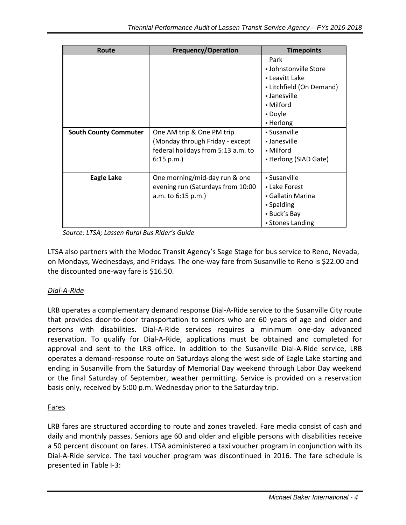| <b>Route</b>                 | <b>Frequency/Operation</b>         | <b>Timepoints</b>        |
|------------------------------|------------------------------------|--------------------------|
|                              |                                    | Park                     |
|                              |                                    | • Johnstonville Store    |
|                              |                                    | • Leavitt Lake           |
|                              |                                    | - Litchfield (On Demand) |
|                              |                                    | • Janesville             |
|                              |                                    | • Milford                |
|                              |                                    | - Doyle                  |
|                              |                                    | • Herlong                |
| <b>South County Commuter</b> | One AM trip & One PM trip          | • Susanville             |
|                              | (Monday through Friday - except    | - Janesville             |
|                              | federal holidays from 5:13 a.m. to | • Milford                |
|                              | $6:15$ p.m.)                       | • Herlong (SIAD Gate)    |
|                              |                                    |                          |
| <b>Eagle Lake</b>            | One morning/mid-day run & one      | • Susanville             |
|                              | evening run (Saturdays from 10:00  | - Lake Forest            |
|                              | a.m. to 6:15 p.m.)                 | • Gallatin Marina        |
|                              |                                    | • Spalding               |
|                              |                                    | - Buck's Bay             |
|                              |                                    | • Stones Landing         |

*Source: LTSA; Lassen Rural Bus Rider's Guide*

LTSA also partners with the Modoc Transit Agency's Sage Stage for bus service to Reno, Nevada, on Mondays, Wednesdays, and Fridays. The one-way fare from Susanville to Reno is \$22.00 and the discounted one-way fare is \$16.50.

### *Dial-A-Ride*

LRB operates a complementary demand response Dial-A-Ride service to the Susanville City route that provides door-to-door transportation to seniors who are 60 years of age and older and persons with disabilities. Dial-A-Ride services requires a minimum one-day advanced reservation. To qualify for Dial-A-Ride, applications must be obtained and completed for approval and sent to the LRB office. In addition to the Susanville Dial-A-Ride service, LRB operates a demand-response route on Saturdays along the west side of Eagle Lake starting and ending in Susanville from the Saturday of Memorial Day weekend through Labor Day weekend or the final Saturday of September, weather permitting. Service is provided on a reservation basis only, received by 5:00 p.m. Wednesday prior to the Saturday trip.

### Fares

LRB fares are structured according to route and zones traveled. Fare media consist of cash and daily and monthly passes. Seniors age 60 and older and eligible persons with disabilities receive a 50 percent discount on fares. LTSA administered a taxi voucher program in conjunction with its Dial-A-Ride service. The taxi voucher program was discontinued in 2016. The fare schedule is presented in Table I-3: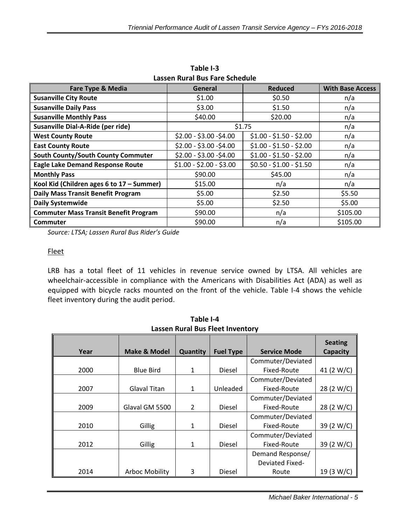| Lassen Kurar Dus Fare Scheudie               |                         |                         |                         |
|----------------------------------------------|-------------------------|-------------------------|-------------------------|
| <b>Fare Type &amp; Media</b>                 | General                 | <b>Reduced</b>          | <b>With Base Access</b> |
| <b>Susanville City Route</b>                 | \$1.00                  | \$0.50                  | n/a                     |
| <b>Susanville Daily Pass</b>                 | \$3.00                  | \$1.50                  | n/a                     |
| <b>Susanville Monthly Pass</b>               | \$40.00                 | \$20.00                 | n/a                     |
| Susanville Dial-A-Ride (per ride)            |                         | \$1.75                  | n/a                     |
| <b>West County Route</b>                     | $$2.00 - $3.00 - $4.00$ | $$1.00 - $1.50 - $2.00$ | n/a                     |
| <b>East County Route</b>                     | $$2.00 - $3.00 - $4.00$ | $$1.00 - $1.50 - $2.00$ | n/a                     |
| South County/South County Commuter           | $$2.00 - $3.00 - $4.00$ | $$1.00 - $1.50 - $2.00$ | n/a                     |
| <b>Eagle Lake Demand Response Route</b>      | $$1.00 - $2.00 - $3.00$ | $$0.50 - $1.00 - $1.50$ | n/a                     |
| <b>Monthly Pass</b>                          | \$90.00                 | \$45.00                 | n/a                     |
| Kool Kid (Children ages 6 to 17 - Summer)    | \$15.00                 | n/a                     | n/a                     |
| <b>Daily Mass Transit Benefit Program</b>    | \$5.00                  | \$2.50                  | \$5.50                  |
| <b>Daily Systemwide</b>                      | \$5.00                  | \$2.50                  | \$5.00                  |
| <b>Commuter Mass Transit Benefit Program</b> | \$90.00                 | n/a                     | \$105.00                |
| <b>Commuter</b>                              | \$90.00                 | n/a                     | \$105.00                |

**Table I-3 Lassen Rural Bus Fare Schedule**

*Source: LTSA; Lassen Rural Bus Rider's Guide*

#### Fleet

LRB has a total fleet of 11 vehicles in revenue service owned by LTSA. All vehicles are wheelchair-accessible in compliance with the Americans with Disabilities Act (ADA) as well as equipped with bicycle racks mounted on the front of the vehicle. Table I-4 shows the vehicle fleet inventory during the audit period.

| Year | <b>Make &amp; Model</b> | Quantity       | <b>Fuel Type</b> | <b>Service Mode</b>    | <b>Seating</b><br><b>Capacity</b> |
|------|-------------------------|----------------|------------------|------------------------|-----------------------------------|
|      |                         |                |                  | Commuter/Deviated      |                                   |
|      |                         |                |                  |                        |                                   |
| 2000 | <b>Blue Bird</b>        | $\mathbf{1}$   | <b>Diesel</b>    | Fixed-Route            | 41 (2 W/C)                        |
|      |                         |                |                  | Commuter/Deviated      |                                   |
| 2007 | Glaval Titan            | $\mathbf{1}$   | Unleaded         | Fixed-Route            | 28 (2 W/C)                        |
|      |                         |                |                  | Commuter/Deviated      |                                   |
| 2009 | Glaval GM 5500          | $\overline{2}$ | Diesel           | Fixed-Route            | 28 (2 W/C)                        |
|      |                         |                |                  | Commuter/Deviated      |                                   |
| 2010 | Gillig                  | $\mathbf{1}$   | Diesel           | Fixed-Route            | 39 (2 W/C)                        |
|      |                         |                |                  | Commuter/Deviated      |                                   |
| 2012 | Gillig                  | 1              | Diesel           | Fixed-Route            | 39 (2 W/C)                        |
|      |                         |                |                  | Demand Response/       |                                   |
|      |                         |                |                  | <b>Deviated Fixed-</b> |                                   |
| 2014 | <b>Arboc Mobility</b>   | 3              | Diesel           | Route                  | 19 (3 W/C)                        |

**Table I-4 Lassen Rural Bus Fleet Inventory**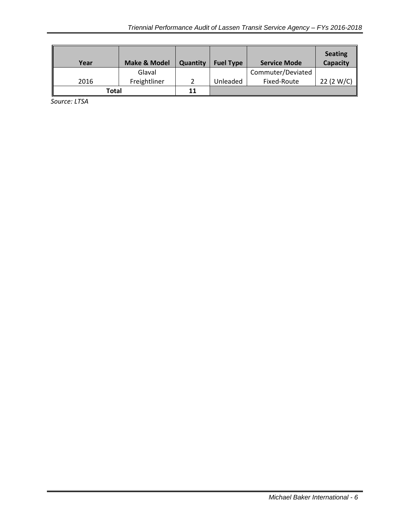| Year  | <b>Make &amp; Model</b> | Quantity | <b>Fuel Type</b> | <b>Service Mode</b> | <b>Seating</b><br>Capacity |
|-------|-------------------------|----------|------------------|---------------------|----------------------------|
|       | Glaval                  |          |                  | Commuter/Deviated   |                            |
| 2016  | Freightliner            |          | Unleaded         | Fixed-Route         | 22 (2 W/C)                 |
| Total |                         | 11       |                  |                     |                            |

<span id="page-7-0"></span>*Source: LTSA*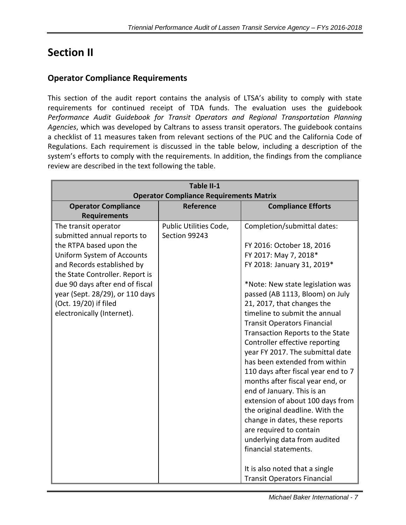# **Section II**

# <span id="page-8-0"></span>**Operator Compliance Requirements**

This section of the audit report contains the analysis of LTSA's ability to comply with state requirements for continued receipt of TDA funds. The evaluation uses the guidebook *Performance Audit Guidebook for Transit Operators and Regional Transportation Planning Agencies*, which was developed by Caltrans to assess transit operators. The guidebook contains a checklist of 11 measures taken from relevant sections of the PUC and the California Code of Regulations. Each requirement is discussed in the table below, including a description of the system's efforts to comply with the requirements. In addition, the findings from the compliance review are described in the text following the table.

| Table II-1<br><b>Operator Compliance Requirements Matrix</b>                                                                                                                                                                                                                                               |                                         |                                                                                                                                                                                                                                                                                                                                                                                                                                                                                                                                                                                                                                                                                                                                                                                |  |
|------------------------------------------------------------------------------------------------------------------------------------------------------------------------------------------------------------------------------------------------------------------------------------------------------------|-----------------------------------------|--------------------------------------------------------------------------------------------------------------------------------------------------------------------------------------------------------------------------------------------------------------------------------------------------------------------------------------------------------------------------------------------------------------------------------------------------------------------------------------------------------------------------------------------------------------------------------------------------------------------------------------------------------------------------------------------------------------------------------------------------------------------------------|--|
| <b>Operator Compliance</b>                                                                                                                                                                                                                                                                                 | Reference                               | <b>Compliance Efforts</b>                                                                                                                                                                                                                                                                                                                                                                                                                                                                                                                                                                                                                                                                                                                                                      |  |
| <b>Requirements</b>                                                                                                                                                                                                                                                                                        |                                         |                                                                                                                                                                                                                                                                                                                                                                                                                                                                                                                                                                                                                                                                                                                                                                                |  |
| The transit operator<br>submitted annual reports to<br>the RTPA based upon the<br>Uniform System of Accounts<br>and Records established by<br>the State Controller. Report is<br>due 90 days after end of fiscal<br>year (Sept. 28/29), or 110 days<br>(Oct. 19/20) if filed<br>electronically (Internet). | Public Utilities Code,<br>Section 99243 | Completion/submittal dates:<br>FY 2016: October 18, 2016<br>FY 2017: May 7, 2018*<br>FY 2018: January 31, 2019*<br>*Note: New state legislation was<br>passed (AB 1113, Bloom) on July<br>21, 2017, that changes the<br>timeline to submit the annual<br><b>Transit Operators Financial</b><br>Transaction Reports to the State<br>Controller effective reporting<br>year FY 2017. The submittal date<br>has been extended from within<br>110 days after fiscal year end to 7<br>months after fiscal year end, or<br>end of January. This is an<br>extension of about 100 days from<br>the original deadline. With the<br>change in dates, these reports<br>are required to contain<br>underlying data from audited<br>financial statements.<br>It is also noted that a single |  |
|                                                                                                                                                                                                                                                                                                            |                                         | <b>Transit Operators Financial</b>                                                                                                                                                                                                                                                                                                                                                                                                                                                                                                                                                                                                                                                                                                                                             |  |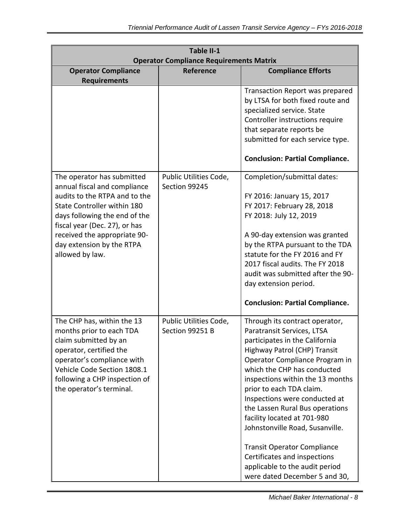| Table II-1<br><b>Operator Compliance Requirements Matrix</b>                                                                                                                                                                                                                 |                                           |                                                                                                                                                                                                                                                                                                                                                                                                                                                                                                                                                |  |
|------------------------------------------------------------------------------------------------------------------------------------------------------------------------------------------------------------------------------------------------------------------------------|-------------------------------------------|------------------------------------------------------------------------------------------------------------------------------------------------------------------------------------------------------------------------------------------------------------------------------------------------------------------------------------------------------------------------------------------------------------------------------------------------------------------------------------------------------------------------------------------------|--|
| <b>Operator Compliance</b>                                                                                                                                                                                                                                                   | Reference                                 | <b>Compliance Efforts</b>                                                                                                                                                                                                                                                                                                                                                                                                                                                                                                                      |  |
| <b>Requirements</b>                                                                                                                                                                                                                                                          |                                           |                                                                                                                                                                                                                                                                                                                                                                                                                                                                                                                                                |  |
|                                                                                                                                                                                                                                                                              |                                           | Transaction Report was prepared<br>by LTSA for both fixed route and<br>specialized service. State<br>Controller instructions require<br>that separate reports be<br>submitted for each service type.<br><b>Conclusion: Partial Compliance.</b>                                                                                                                                                                                                                                                                                                 |  |
| The operator has submitted<br>annual fiscal and compliance<br>audits to the RTPA and to the<br>State Controller within 180<br>days following the end of the<br>fiscal year (Dec. 27), or has<br>received the appropriate 90-<br>day extension by the RTPA<br>allowed by law. | Public Utilities Code,<br>Section 99245   | Completion/submittal dates:<br>FY 2016: January 15, 2017<br>FY 2017: February 28, 2018<br>FY 2018: July 12, 2019<br>A 90-day extension was granted<br>by the RTPA pursuant to the TDA<br>statute for the FY 2016 and FY<br>2017 fiscal audits. The FY 2018<br>audit was submitted after the 90-<br>day extension period.<br><b>Conclusion: Partial Compliance.</b>                                                                                                                                                                             |  |
| The CHP has, within the 13<br>months prior to each TDA<br>claim submitted by an<br>operator, certified the<br>operator's compliance with<br>Vehicle Code Section 1808.1<br>following a CHP inspection of<br>the operator's terminal.                                         | Public Utilities Code,<br>Section 99251 B | Through its contract operator,<br>Paratransit Services, LTSA<br>participates in the California<br>Highway Patrol (CHP) Transit<br>Operator Compliance Program in<br>which the CHP has conducted<br>inspections within the 13 months<br>prior to each TDA claim.<br>Inspections were conducted at<br>the Lassen Rural Bus operations<br>facility located at 701-980<br>Johnstonville Road, Susanville.<br><b>Transit Operator Compliance</b><br>Certificates and inspections<br>applicable to the audit period<br>were dated December 5 and 30, |  |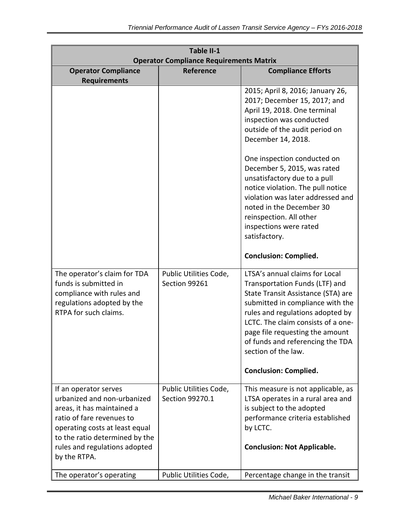| Table II-1<br><b>Operator Compliance Requirements Matrix</b>                                                                                                                                                                         |                                           |                                                                                                                                                                                                                                                                                                                                                                                                                                               |  |
|--------------------------------------------------------------------------------------------------------------------------------------------------------------------------------------------------------------------------------------|-------------------------------------------|-----------------------------------------------------------------------------------------------------------------------------------------------------------------------------------------------------------------------------------------------------------------------------------------------------------------------------------------------------------------------------------------------------------------------------------------------|--|
| <b>Operator Compliance</b>                                                                                                                                                                                                           | <b>Reference</b>                          | <b>Compliance Efforts</b>                                                                                                                                                                                                                                                                                                                                                                                                                     |  |
| <b>Requirements</b>                                                                                                                                                                                                                  |                                           |                                                                                                                                                                                                                                                                                                                                                                                                                                               |  |
|                                                                                                                                                                                                                                      |                                           | 2015; April 8, 2016; January 26,<br>2017; December 15, 2017; and<br>April 19, 2018. One terminal<br>inspection was conducted<br>outside of the audit period on<br>December 14, 2018.<br>One inspection conducted on<br>December 5, 2015, was rated<br>unsatisfactory due to a pull<br>notice violation. The pull notice<br>violation was later addressed and<br>noted in the December 30<br>reinspection. All other<br>inspections were rated |  |
|                                                                                                                                                                                                                                      |                                           | satisfactory.                                                                                                                                                                                                                                                                                                                                                                                                                                 |  |
|                                                                                                                                                                                                                                      |                                           | <b>Conclusion: Complied.</b>                                                                                                                                                                                                                                                                                                                                                                                                                  |  |
| The operator's claim for TDA<br>funds is submitted in<br>compliance with rules and<br>regulations adopted by the<br>RTPA for such claims.                                                                                            | Public Utilities Code,<br>Section 99261   | LTSA's annual claims for Local<br>Transportation Funds (LTF) and<br>State Transit Assistance (STA) are<br>submitted in compliance with the<br>rules and regulations adopted by<br>LCTC. The claim consists of a one-<br>page file requesting the amount<br>of funds and referencing the TDA<br>section of the law.                                                                                                                            |  |
|                                                                                                                                                                                                                                      |                                           | <b>Conclusion: Complied.</b>                                                                                                                                                                                                                                                                                                                                                                                                                  |  |
| If an operator serves<br>urbanized and non-urbanized<br>areas, it has maintained a<br>ratio of fare revenues to<br>operating costs at least equal<br>to the ratio determined by the<br>rules and regulations adopted<br>by the RTPA. | Public Utilities Code,<br>Section 99270.1 | This measure is not applicable, as<br>LTSA operates in a rural area and<br>is subject to the adopted<br>performance criteria established<br>by LCTC.<br><b>Conclusion: Not Applicable.</b>                                                                                                                                                                                                                                                    |  |
| The operator's operating                                                                                                                                                                                                             | Public Utilities Code,                    | Percentage change in the transit                                                                                                                                                                                                                                                                                                                                                                                                              |  |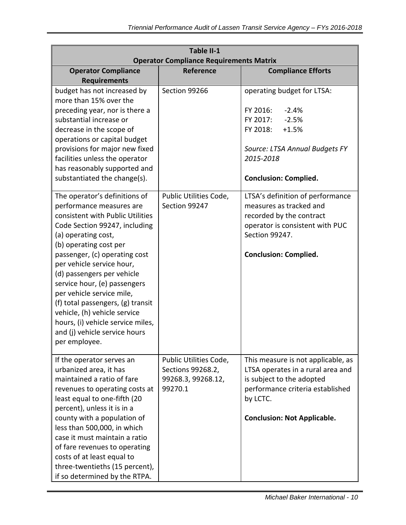| Table II-1<br><b>Operator Compliance Requirements Matrix</b>                                                                                                                                                                                                                                                                                                                                                        |                                                                              |                                                                                                                                                                                            |  |
|---------------------------------------------------------------------------------------------------------------------------------------------------------------------------------------------------------------------------------------------------------------------------------------------------------------------------------------------------------------------------------------------------------------------|------------------------------------------------------------------------------|--------------------------------------------------------------------------------------------------------------------------------------------------------------------------------------------|--|
| <b>Operator Compliance</b>                                                                                                                                                                                                                                                                                                                                                                                          | Reference                                                                    | <b>Compliance Efforts</b>                                                                                                                                                                  |  |
| <b>Requirements</b>                                                                                                                                                                                                                                                                                                                                                                                                 |                                                                              |                                                                                                                                                                                            |  |
| budget has not increased by<br>more than 15% over the<br>preceding year, nor is there a<br>substantial increase or<br>decrease in the scope of<br>operations or capital budget                                                                                                                                                                                                                                      | Section 99266                                                                | operating budget for LTSA:<br>FY 2016:<br>$-2.4%$<br>FY 2017:<br>$-2.5%$<br>FY 2018:<br>$+1.5%$                                                                                            |  |
| provisions for major new fixed<br>facilities unless the operator<br>has reasonably supported and<br>substantiated the change(s).                                                                                                                                                                                                                                                                                    |                                                                              | Source: LTSA Annual Budgets FY<br>2015-2018<br><b>Conclusion: Complied.</b>                                                                                                                |  |
| The operator's definitions of<br>performance measures are<br>consistent with Public Utilities<br>Code Section 99247, including<br>(a) operating cost,<br>(b) operating cost per                                                                                                                                                                                                                                     | Public Utilities Code,<br>Section 99247                                      | LTSA's definition of performance<br>measures as tracked and<br>recorded by the contract<br>operator is consistent with PUC<br>Section 99247.                                               |  |
| passenger, (c) operating cost<br>per vehicle service hour,<br>(d) passengers per vehicle<br>service hour, (e) passengers<br>per vehicle service mile,<br>(f) total passengers, (g) transit<br>vehicle, (h) vehicle service<br>hours, (i) vehicle service miles,<br>and (j) vehicle service hours<br>per employee.                                                                                                   |                                                                              | <b>Conclusion: Complied.</b>                                                                                                                                                               |  |
| If the operator serves an<br>urbanized area, it has<br>maintained a ratio of fare<br>revenues to operating costs at<br>least equal to one-fifth (20<br>percent), unless it is in a<br>county with a population of<br>less than 500,000, in which<br>case it must maintain a ratio<br>of fare revenues to operating<br>costs of at least equal to<br>three-twentieths (15 percent),<br>if so determined by the RTPA. | Public Utilities Code,<br>Sections 99268.2,<br>99268.3, 99268.12,<br>99270.1 | This measure is not applicable, as<br>LTSA operates in a rural area and<br>is subject to the adopted<br>performance criteria established<br>by LCTC.<br><b>Conclusion: Not Applicable.</b> |  |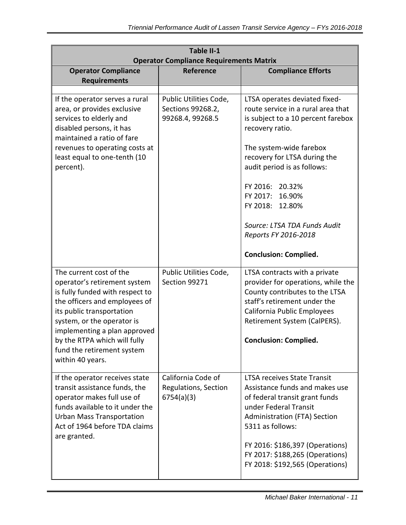| Table II-1<br><b>Operator Compliance Requirements Matrix</b>                                                                                                                                                                                                                                             |                                                                 |                                                                                                                                                                                                                                                                                                                                                                            |  |
|----------------------------------------------------------------------------------------------------------------------------------------------------------------------------------------------------------------------------------------------------------------------------------------------------------|-----------------------------------------------------------------|----------------------------------------------------------------------------------------------------------------------------------------------------------------------------------------------------------------------------------------------------------------------------------------------------------------------------------------------------------------------------|--|
| <b>Operator Compliance</b><br><b>Requirements</b>                                                                                                                                                                                                                                                        | Reference                                                       | <b>Compliance Efforts</b>                                                                                                                                                                                                                                                                                                                                                  |  |
|                                                                                                                                                                                                                                                                                                          |                                                                 |                                                                                                                                                                                                                                                                                                                                                                            |  |
| If the operator serves a rural<br>area, or provides exclusive<br>services to elderly and<br>disabled persons, it has<br>maintained a ratio of fare<br>revenues to operating costs at<br>least equal to one-tenth (10<br>percent).                                                                        | Public Utilities Code,<br>Sections 99268.2,<br>99268.4, 99268.5 | LTSA operates deviated fixed-<br>route service in a rural area that<br>is subject to a 10 percent farebox<br>recovery ratio.<br>The system-wide farebox<br>recovery for LTSA during the<br>audit period is as follows:<br>FY 2016: 20.32%<br>FY 2017:<br>16.90%<br>FY 2018: 12.80%<br>Source: LTSA TDA Funds Audit<br>Reports FY 2016-2018<br><b>Conclusion: Complied.</b> |  |
| The current cost of the<br>operator's retirement system<br>is fully funded with respect to<br>the officers and employees of<br>its public transportation<br>system, or the operator is<br>implementing a plan approved<br>by the RTPA which will fully<br>fund the retirement system<br>within 40 years. | Public Utilities Code,<br>Section 99271                         | LTSA contracts with a private<br>provider for operations, while the<br>County contributes to the LTSA<br>staff's retirement under the<br>California Public Employees<br>Retirement System (CalPERS).<br><b>Conclusion: Complied.</b>                                                                                                                                       |  |
| If the operator receives state<br>transit assistance funds, the<br>operator makes full use of<br>funds available to it under the<br><b>Urban Mass Transportation</b><br>Act of 1964 before TDA claims<br>are granted.                                                                                    | California Code of<br>Regulations, Section<br>6754(a)(3)        | <b>LTSA receives State Transit</b><br>Assistance funds and makes use<br>of federal transit grant funds<br>under Federal Transit<br><b>Administration (FTA) Section</b><br>5311 as follows:<br>FY 2016: \$186,397 (Operations)<br>FY 2017: \$188,265 (Operations)<br>FY 2018: \$192,565 (Operations)                                                                        |  |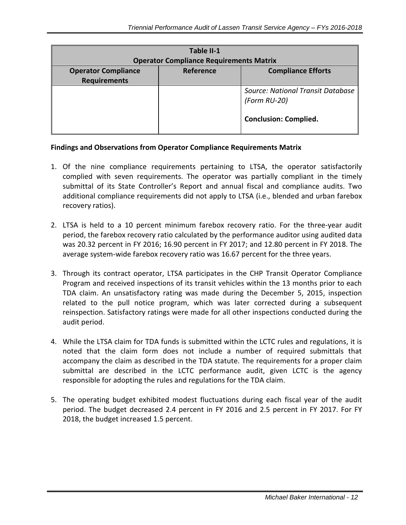| Table II-1<br><b>Operator Compliance Requirements Matrix</b> |           |                                                                                   |  |  |
|--------------------------------------------------------------|-----------|-----------------------------------------------------------------------------------|--|--|
| <b>Operator Compliance</b><br><b>Requirements</b>            | Reference | <b>Compliance Efforts</b>                                                         |  |  |
|                                                              |           | Source: National Transit Database<br>(Form RU-20)<br><b>Conclusion: Complied.</b> |  |  |

#### **Findings and Observations from Operator Compliance Requirements Matrix**

- 1. Of the nine compliance requirements pertaining to LTSA, the operator satisfactorily complied with seven requirements. The operator was partially compliant in the timely submittal of its State Controller's Report and annual fiscal and compliance audits. Two additional compliance requirements did not apply to LTSA (i.e., blended and urban farebox recovery ratios).
- 2. LTSA is held to a 10 percent minimum farebox recovery ratio. For the three-year audit period, the farebox recovery ratio calculated by the performance auditor using audited data was 20.32 percent in FY 2016; 16.90 percent in FY 2017; and 12.80 percent in FY 2018. The average system-wide farebox recovery ratio was 16.67 percent for the three years.
- 3. Through its contract operator, LTSA participates in the CHP Transit Operator Compliance Program and received inspections of its transit vehicles within the 13 months prior to each TDA claim. An unsatisfactory rating was made during the December 5, 2015, inspection related to the pull notice program, which was later corrected during a subsequent reinspection. Satisfactory ratings were made for all other inspections conducted during the audit period.
- 4. While the LTSA claim for TDA funds is submitted within the LCTC rules and regulations, it is noted that the claim form does not include a number of required submittals that accompany the claim as described in the TDA statute. The requirements for a proper claim submittal are described in the LCTC performance audit, given LCTC is the agency responsible for adopting the rules and regulations for the TDA claim.
- 5. The operating budget exhibited modest fluctuations during each fiscal year of the audit period. The budget decreased 2.4 percent in FY 2016 and 2.5 percent in FY 2017. For FY 2018, the budget increased 1.5 percent.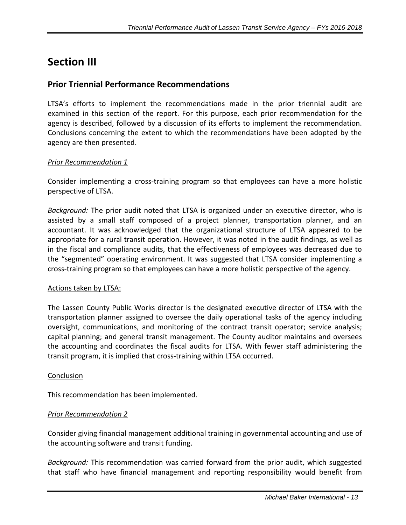# <span id="page-14-0"></span>**Section III**

## <span id="page-14-1"></span>**Prior Triennial Performance Recommendations**

LTSA's efforts to implement the recommendations made in the prior triennial audit are examined in this section of the report. For this purpose, each prior recommendation for the agency is described, followed by a discussion of its efforts to implement the recommendation. Conclusions concerning the extent to which the recommendations have been adopted by the agency are then presented.

#### *Prior Recommendation 1*

Consider implementing a cross-training program so that employees can have a more holistic perspective of LTSA.

*Background:* The prior audit noted that LTSA is organized under an executive director, who is assisted by a small staff composed of a project planner, transportation planner, and an accountant. It was acknowledged that the organizational structure of LTSA appeared to be appropriate for a rural transit operation. However, it was noted in the audit findings, as well as in the fiscal and compliance audits, that the effectiveness of employees was decreased due to the "segmented" operating environment. It was suggested that LTSA consider implementing a cross-training program so that employees can have a more holistic perspective of the agency.

#### Actions taken by LTSA:

The Lassen County Public Works director is the designated executive director of LTSA with the transportation planner assigned to oversee the daily operational tasks of the agency including oversight, communications, and monitoring of the contract transit operator; service analysis; capital planning; and general transit management. The County auditor maintains and oversees the accounting and coordinates the fiscal audits for LTSA. With fewer staff administering the transit program, it is implied that cross-training within LTSA occurred.

#### Conclusion

This recommendation has been implemented.

#### *Prior Recommendation 2*

Consider giving financial management additional training in governmental accounting and use of the accounting software and transit funding.

*Background:* This recommendation was carried forward from the prior audit, which suggested that staff who have financial management and reporting responsibility would benefit from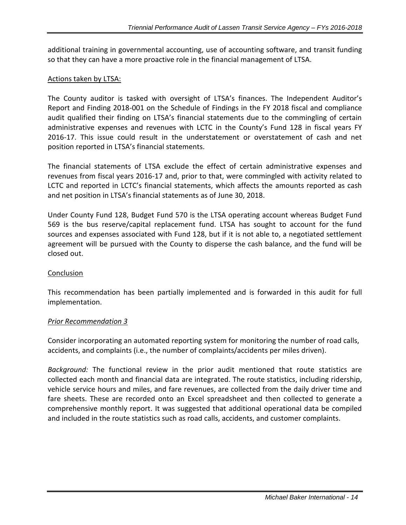additional training in governmental accounting, use of accounting software, and transit funding so that they can have a more proactive role in the financial management of LTSA.

#### Actions taken by LTSA:

The County auditor is tasked with oversight of LTSA's finances. The Independent Auditor's Report and Finding 2018-001 on the Schedule of Findings in the FY 2018 fiscal and compliance audit qualified their finding on LTSA's financial statements due to the commingling of certain administrative expenses and revenues with LCTC in the County's Fund 128 in fiscal years FY 2016-17. This issue could result in the understatement or overstatement of cash and net position reported in LTSA's financial statements.

The financial statements of LTSA exclude the effect of certain administrative expenses and revenues from fiscal years 2016-17 and, prior to that, were commingled with activity related to LCTC and reported in LCTC's financial statements, which affects the amounts reported as cash and net position in LTSA's financial statements as of June 30, 2018.

Under County Fund 128, Budget Fund 570 is the LTSA operating account whereas Budget Fund 569 is the bus reserve/capital replacement fund. LTSA has sought to account for the fund sources and expenses associated with Fund 128, but if it is not able to, a negotiated settlement agreement will be pursued with the County to disperse the cash balance, and the fund will be closed out.

#### Conclusion

This recommendation has been partially implemented and is forwarded in this audit for full implementation.

#### *Prior Recommendation 3*

Consider incorporating an automated reporting system for monitoring the number of road calls, accidents, and complaints (i.e., the number of complaints/accidents per miles driven).

*Background:* The functional review in the prior audit mentioned that route statistics are collected each month and financial data are integrated. The route statistics, including ridership, vehicle service hours and miles, and fare revenues, are collected from the daily driver time and fare sheets. These are recorded onto an Excel spreadsheet and then collected to generate a comprehensive monthly report. It was suggested that additional operational data be compiled and included in the route statistics such as road calls, accidents, and customer complaints.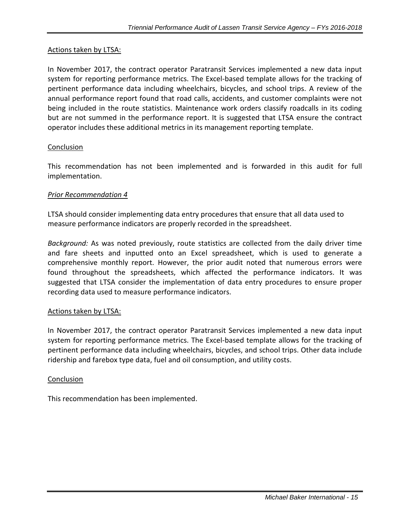#### Actions taken by LTSA:

In November 2017, the contract operator Paratransit Services implemented a new data input system for reporting performance metrics. The Excel-based template allows for the tracking of pertinent performance data including wheelchairs, bicycles, and school trips. A review of the annual performance report found that road calls, accidents, and customer complaints were not being included in the route statistics. Maintenance work orders classify roadcalls in its coding but are not summed in the performance report. It is suggested that LTSA ensure the contract operator includes these additional metrics in its management reporting template.

#### Conclusion

This recommendation has not been implemented and is forwarded in this audit for full implementation.

#### *Prior Recommendation 4*

LTSA should consider implementing data entry procedures that ensure that all data used to measure performance indicators are properly recorded in the spreadsheet.

*Background:* As was noted previously, route statistics are collected from the daily driver time and fare sheets and inputted onto an Excel spreadsheet, which is used to generate a comprehensive monthly report. However, the prior audit noted that numerous errors were found throughout the spreadsheets, which affected the performance indicators. It was suggested that LTSA consider the implementation of data entry procedures to ensure proper recording data used to measure performance indicators.

#### Actions taken by LTSA:

In November 2017, the contract operator Paratransit Services implemented a new data input system for reporting performance metrics. The Excel-based template allows for the tracking of pertinent performance data including wheelchairs, bicycles, and school trips. Other data include ridership and farebox type data, fuel and oil consumption, and utility costs.

#### **Conclusion**

<span id="page-16-0"></span>This recommendation has been implemented.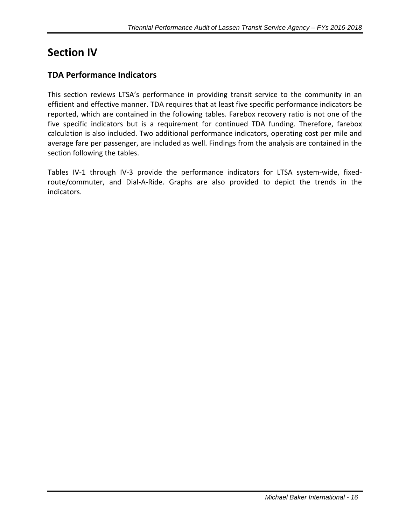# **Section IV**

# <span id="page-17-0"></span>**TDA Performance Indicators**

This section reviews LTSA's performance in providing transit service to the community in an efficient and effective manner. TDA requires that at least five specific performance indicators be reported, which are contained in the following tables. Farebox recovery ratio is not one of the five specific indicators but is a requirement for continued TDA funding. Therefore, farebox calculation is also included. Two additional performance indicators, operating cost per mile and average fare per passenger, are included as well. Findings from the analysis are contained in the section following the tables.

Tables IV-1 through IV-3 provide the performance indicators for LTSA system-wide, fixedroute/commuter, and Dial-A-Ride. Graphs are also provided to depict the trends in the indicators.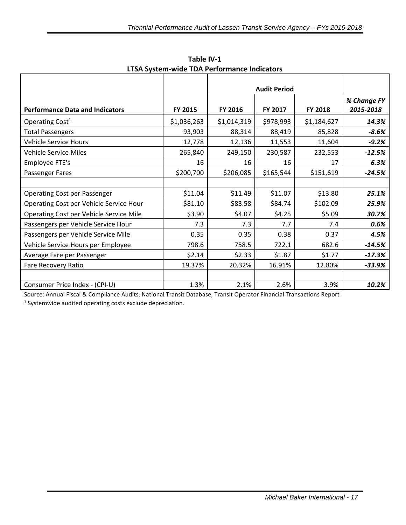|                                         |             | LISA SYSTEM WING TEAT CHOMMUNIC MAIO |           |             |             |
|-----------------------------------------|-------------|--------------------------------------|-----------|-------------|-------------|
|                                         |             | <b>Audit Period</b>                  |           |             |             |
|                                         |             |                                      |           |             | % Change FY |
| <b>Performance Data and Indicators</b>  | FY 2015     | FY 2016                              | FY 2017   | FY 2018     | 2015-2018   |
| Operating Cost <sup>1</sup>             | \$1,036,263 | \$1,014,319                          | \$978,993 | \$1,184,627 | 14.3%       |
| <b>Total Passengers</b>                 | 93,903      | 88,314                               | 88,419    | 85,828      | $-8.6%$     |
| <b>Vehicle Service Hours</b>            | 12,778      | 12,136                               | 11,553    | 11,604      | $-9.2%$     |
| <b>Vehicle Service Miles</b>            | 265,840     | 249,150                              | 230,587   | 232,553     | $-12.5%$    |
| Employee FTE's                          | 16          | 16                                   | 16        | 17          | 6.3%        |
| Passenger Fares                         | \$200,700   | \$206,085                            | \$165,544 | \$151,619   | $-24.5%$    |
|                                         |             |                                      |           |             |             |
| <b>Operating Cost per Passenger</b>     | \$11.04     | \$11.49                              | \$11.07   | \$13.80     | 25.1%       |
| Operating Cost per Vehicle Service Hour | \$81.10     | \$83.58                              | \$84.74   | \$102.09    | 25.9%       |
| Operating Cost per Vehicle Service Mile | \$3.90      | \$4.07                               | \$4.25    | \$5.09      | 30.7%       |
| Passengers per Vehicle Service Hour     | 7.3         | 7.3                                  | 7.7       | 7.4         | 0.6%        |
| Passengers per Vehicle Service Mile     | 0.35        | 0.35                                 | 0.38      | 0.37        | 4.5%        |
| Vehicle Service Hours per Employee      | 798.6       | 758.5                                | 722.1     | 682.6       | $-14.5%$    |
| Average Fare per Passenger              | \$2.14      | \$2.33                               | \$1.87    | \$1.77      | $-17.3%$    |
| Fare Recovery Ratio                     | 19.37%      | 20.32%                               | 16.91%    | 12.80%      | $-33.9%$    |
|                                         |             |                                      |           |             |             |
| Consumer Price Index - (CPI-U)          | 1.3%        | 2.1%                                 | 2.6%      | 3.9%        | 10.2%       |

**Table IV-1 LTSA System-wide TDA Performance Indicators**

Source: Annual Fiscal & Compliance Audits, National Transit Database, Transit Operator Financial Transactions Report

<sup>1</sup> Systemwide audited operating costs exclude depreciation.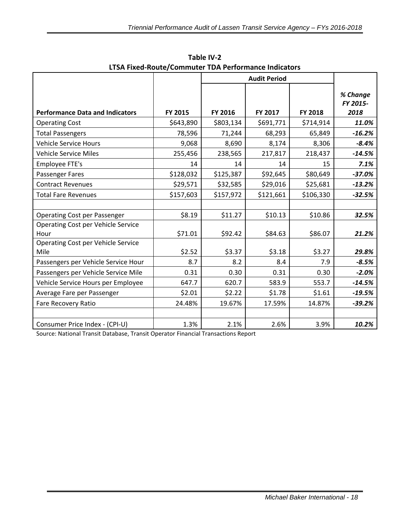| LTSA Fixed-Route/Commuter TDA Performance Indicators |           |                     |           |           |                              |
|------------------------------------------------------|-----------|---------------------|-----------|-----------|------------------------------|
|                                                      |           | <b>Audit Period</b> |           |           |                              |
| <b>Performance Data and Indicators</b>               | FY 2015   | FY 2016             | FY 2017   | FY 2018   | % Change<br>FY 2015-<br>2018 |
| <b>Operating Cost</b>                                | \$643,890 | \$803,134           | \$691,771 | \$714,914 | 11.0%                        |
| <b>Total Passengers</b>                              | 78,596    | 71,244              | 68,293    | 65,849    | $-16.2%$                     |
| <b>Vehicle Service Hours</b>                         | 9,068     | 8,690               | 8,174     | 8,306     | $-8.4%$                      |
| <b>Vehicle Service Miles</b>                         | 255,456   | 238,565             | 217,817   | 218,437   | $-14.5%$                     |
| Employee FTE's                                       | 14        | 14                  | 14        | 15        | 7.1%                         |
| Passenger Fares                                      | \$128,032 | \$125,387           | \$92,645  | \$80,649  | $-37.0%$                     |
| <b>Contract Revenues</b>                             | \$29,571  | \$32,585            | \$29,016  | \$25,681  | $-13.2%$                     |
| <b>Total Fare Revenues</b>                           | \$157,603 | \$157,972           | \$121,661 | \$106,330 | $-32.5%$                     |
|                                                      |           |                     |           |           |                              |
| <b>Operating Cost per Passenger</b>                  | \$8.19    | \$11.27             | \$10.13   | \$10.86   | 32.5%                        |
| Operating Cost per Vehicle Service<br>Hour           | \$71.01   | \$92.42             | \$84.63   | \$86.07   | 21.2%                        |
| Operating Cost per Vehicle Service<br>Mile           | \$2.52    | \$3.37              | \$3.18    | \$3.27    | 29.8%                        |
| Passengers per Vehicle Service Hour                  | 8.7       | 8.2                 | 8.4       | 7.9       | $-8.5%$                      |
| Passengers per Vehicle Service Mile                  | 0.31      | 0.30                | 0.31      | 0.30      | $-2.0%$                      |
| Vehicle Service Hours per Employee                   | 647.7     | 620.7               | 583.9     | 553.7     | $-14.5%$                     |
| Average Fare per Passenger                           | \$2.01    | \$2.22              | \$1.78    | \$1.61    | $-19.5%$                     |
| Fare Recovery Ratio                                  | 24.48%    | 19.67%              | 17.59%    | 14.87%    | $-39.2%$                     |
|                                                      |           |                     |           |           |                              |
| Consumer Price Index - (CPI-U)                       | 1.3%      | 2.1%                | 2.6%      | 3.9%      | 10.2%                        |

**Table IV-2**

Source: National Transit Database, Transit Operator Financial Transactions Report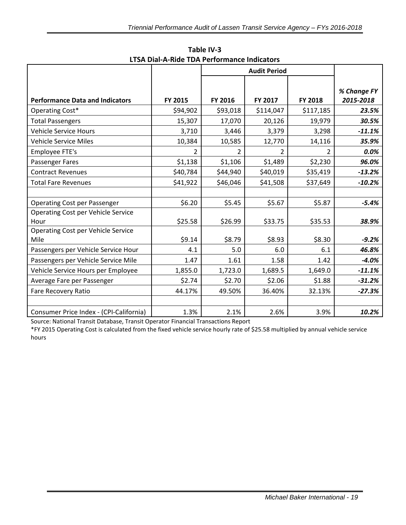|                                           |               | <b>Audit Period</b> |           |                |             |
|-------------------------------------------|---------------|---------------------|-----------|----------------|-------------|
|                                           |               |                     |           |                |             |
|                                           |               |                     |           |                | % Change FY |
| <b>Performance Data and Indicators</b>    | FY 2015       | FY 2016             | FY 2017   | <b>FY 2018</b> | 2015-2018   |
| Operating Cost*                           | \$94,902      | \$93,018            | \$114,047 | \$117,185      | 23.5%       |
| <b>Total Passengers</b>                   | 15,307        | 17,070              | 20,126    | 19,979         | 30.5%       |
| <b>Vehicle Service Hours</b>              | 3,710         | 3,446               | 3,379     | 3,298          | $-11.1%$    |
| <b>Vehicle Service Miles</b>              | 10,384        | 10,585              | 12,770    | 14,116         | 35.9%       |
| Employee FTE's                            | $\mathcal{P}$ | $\overline{2}$      | 2         | $\mathfrak{p}$ | 0.0%        |
| Passenger Fares                           | \$1,138       | \$1,106             | \$1,489   | \$2,230        | 96.0%       |
| <b>Contract Revenues</b>                  | \$40,784      | \$44,940            | \$40,019  | \$35,419       | $-13.2%$    |
| <b>Total Fare Revenues</b>                | \$41,922      | \$46,046            | \$41,508  | \$37,649       | $-10.2%$    |
|                                           |               |                     |           |                |             |
| <b>Operating Cost per Passenger</b>       | \$6.20        | \$5.45              | \$5.67    | \$5.87         | $-5.4%$     |
| <b>Operating Cost per Vehicle Service</b> |               |                     |           |                |             |
| Hour                                      | \$25.58       | \$26.99             | \$33.75   | \$35.53        | 38.9%       |
| Operating Cost per Vehicle Service        |               |                     |           |                |             |
| Mile                                      | \$9.14        | \$8.79              | \$8.93    | \$8.30         | $-9.2%$     |
| Passengers per Vehicle Service Hour       | 4.1           | 5.0                 | 6.0       | 6.1            | 46.8%       |
| Passengers per Vehicle Service Mile       | 1.47          | 1.61                | 1.58      | 1.42           | $-4.0%$     |
| Vehicle Service Hours per Employee        | 1,855.0       | 1,723.0             | 1,689.5   | 1,649.0        | $-11.1%$    |
| Average Fare per Passenger                | \$2.74        | \$2.70              | \$2.06    | \$1.88         | $-31.2%$    |
| <b>Fare Recovery Ratio</b>                | 44.17%        | 49.50%              | 36.40%    | 32.13%         | $-27.3%$    |
|                                           |               |                     |           |                |             |
| Consumer Price Index - (CPI-California)   | 1.3%          | 2.1%                | 2.6%      | 3.9%           | 10.2%       |

**Table IV-3 LTSA Dial-A-Ride TDA Performance Indicators**

Source: National Transit Database, Transit Operator Financial Transactions Report

\*FY 2015 Operating Cost is calculated from the fixed vehicle service hourly rate of \$25.58 multiplied by annual vehicle service hours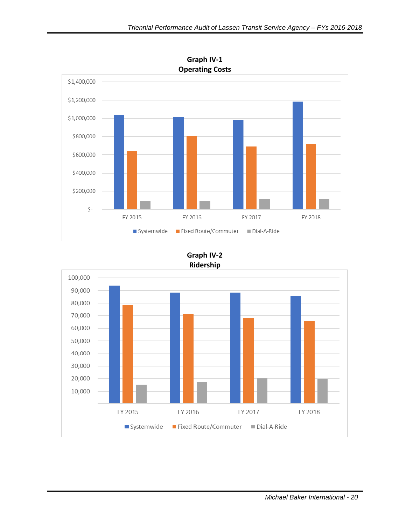

**Graph IV-2 Ridership**

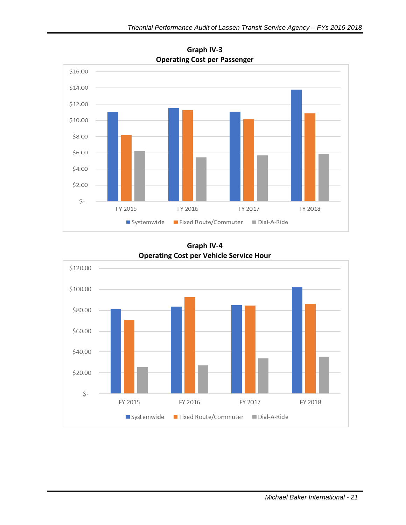

**Graph IV-3 Operating Cost per Passenger**

**Graph IV-4 Operating Cost per Vehicle Service Hour**

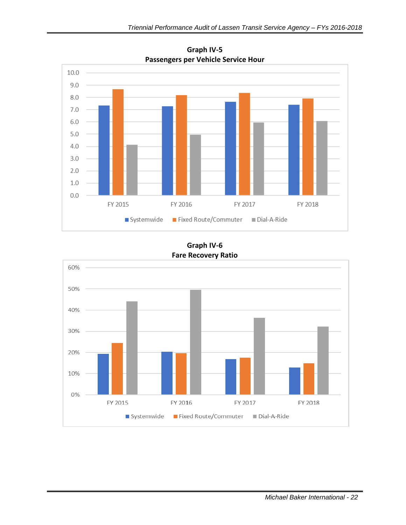

**Graph IV-5 Passengers per Vehicle Service Hour**

**Graph IV-6 Fare Recovery Ratio**

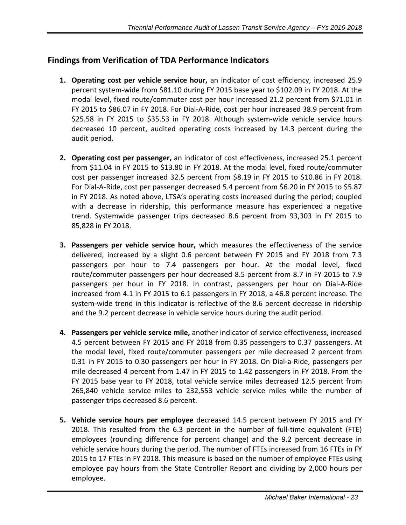## **Findings from Verification of TDA Performance Indicators**

- **1. Operating cost per vehicle service hour,** an indicator of cost efficiency, increased 25.9 percent system-wide from \$81.10 during FY 2015 base year to \$102.09 in FY 2018. At the modal level, fixed route/commuter cost per hour increased 21.2 percent from \$71.01 in FY 2015 to \$86.07 in FY 2018. For Dial-A-Ride, cost per hour increased 38.9 percent from \$25.58 in FY 2015 to \$35.53 in FY 2018. Although system-wide vehicle service hours decreased 10 percent, audited operating costs increased by 14.3 percent during the audit period.
- **2. Operating cost per passenger,** an indicator of cost effectiveness, increased 25.1 percent from \$11.04 in FY 2015 to \$13.80 in FY 2018. At the modal level, fixed route/commuter cost per passenger increased 32.5 percent from \$8.19 in FY 2015 to \$10.86 in FY 2018. For Dial-A-Ride, cost per passenger decreased 5.4 percent from \$6.20 in FY 2015 to \$5.87 in FY 2018. As noted above, LTSA's operating costs increased during the period; coupled with a decrease in ridership, this performance measure has experienced a negative trend. Systemwide passenger trips decreased 8.6 percent from 93,303 in FY 2015 to 85,828 in FY 2018.
- **3. Passengers per vehicle service hour,** which measures the effectiveness of the service delivered, increased by a slight 0.6 percent between FY 2015 and FY 2018 from 7.3 passengers per hour to 7.4 passengers per hour. At the modal level, fixed route/commuter passengers per hour decreased 8.5 percent from 8.7 in FY 2015 to 7.9 passengers per hour in FY 2018. In contrast, passengers per hour on Dial-A-Ride increased from 4.1 in FY 2015 to 6.1 passengers in FY 2018, a 46.8 percent increase. The system-wide trend in this indicator is reflective of the 8.6 percent decrease in ridership and the 9.2 percent decrease in vehicle service hours during the audit period.
- **4. Passengers per vehicle service mile,** another indicator of service effectiveness, increased 4.5 percent between FY 2015 and FY 2018 from 0.35 passengers to 0.37 passengers. At the modal level, fixed route/commuter passengers per mile decreased 2 percent from 0.31 in FY 2015 to 0.30 passengers per hour in FY 2018. On Dial-a-Ride, passengers per mile decreased 4 percent from 1.47 in FY 2015 to 1.42 passengers in FY 2018. From the FY 2015 base year to FY 2018, total vehicle service miles decreased 12.5 percent from 265,840 vehicle service miles to 232,553 vehicle service miles while the number of passenger trips decreased 8.6 percent.
- **5. Vehicle service hours per employee** decreased 14.5 percent between FY 2015 and FY 2018. This resulted from the 6.3 percent in the number of full-time equivalent (FTE) employees (rounding difference for percent change) and the 9.2 percent decrease in vehicle service hours during the period. The number of FTEs increased from 16 FTEs in FY 2015 to 17 FTEs in FY 2018. This measure is based on the number of employee FTEs using employee pay hours from the State Controller Report and dividing by 2,000 hours per employee.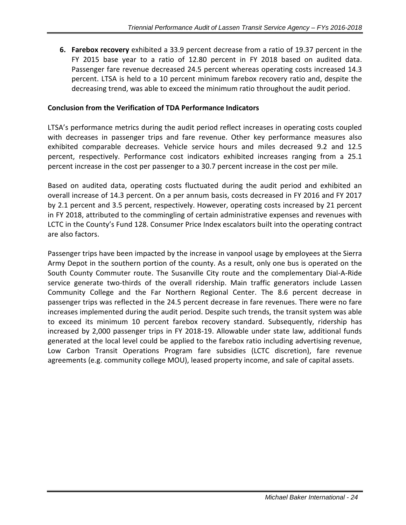**6. Farebox recovery** exhibited a 33.9 percent decrease from a ratio of 19.37 percent in the FY 2015 base year to a ratio of 12.80 percent in FY 2018 based on audited data. Passenger fare revenue decreased 24.5 percent whereas operating costs increased 14.3 percent. LTSA is held to a 10 percent minimum farebox recovery ratio and, despite the decreasing trend, was able to exceed the minimum ratio throughout the audit period.

#### **Conclusion from the Verification of TDA Performance Indicators**

LTSA's performance metrics during the audit period reflect increases in operating costs coupled with decreases in passenger trips and fare revenue. Other key performance measures also exhibited comparable decreases. Vehicle service hours and miles decreased 9.2 and 12.5 percent, respectively. Performance cost indicators exhibited increases ranging from a 25.1 percent increase in the cost per passenger to a 30.7 percent increase in the cost per mile.

Based on audited data, operating costs fluctuated during the audit period and exhibited an overall increase of 14.3 percent. On a per annum basis, costs decreased in FY 2016 and FY 2017 by 2.1 percent and 3.5 percent, respectively. However, operating costs increased by 21 percent in FY 2018, attributed to the commingling of certain administrative expenses and revenues with LCTC in the County's Fund 128. Consumer Price Index escalators built into the operating contract are also factors.

Passenger trips have been impacted by the increase in vanpool usage by employees at the Sierra Army Depot in the southern portion of the county. As a result, only one bus is operated on the South County Commuter route. The Susanville City route and the complementary Dial-A-Ride service generate two-thirds of the overall ridership. Main traffic generators include Lassen Community College and the Far Northern Regional Center. The 8.6 percent decrease in passenger trips was reflected in the 24.5 percent decrease in fare revenues. There were no fare increases implemented during the audit period. Despite such trends, the transit system was able to exceed its minimum 10 percent farebox recovery standard. Subsequently, ridership has increased by 2,000 passenger trips in FY 2018-19. Allowable under state law, additional funds generated at the local level could be applied to the farebox ratio including advertising revenue, Low Carbon Transit Operations Program fare subsidies (LCTC discretion), fare revenue agreements (e.g. community college MOU), leased property income, and sale of capital assets.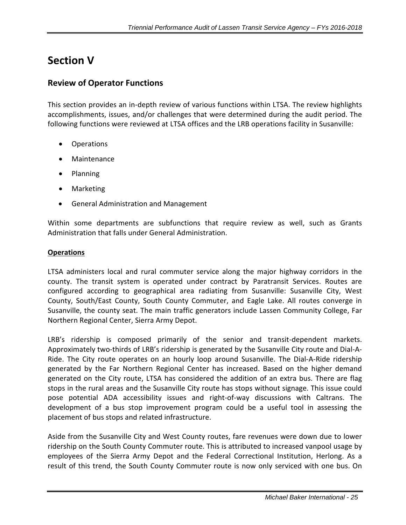# <span id="page-26-0"></span>**Section V**

### <span id="page-26-1"></span>**Review of Operator Functions**

This section provides an in-depth review of various functions within LTSA. The review highlights accomplishments, issues, and/or challenges that were determined during the audit period. The following functions were reviewed at LTSA offices and the LRB operations facility in Susanville:

- Operations
- Maintenance
- Planning
- Marketing
- General Administration and Management

Within some departments are subfunctions that require review as well, such as Grants Administration that falls under General Administration.

#### <span id="page-26-2"></span>**Operations**

LTSA administers local and rural commuter service along the major highway corridors in the county. The transit system is operated under contract by Paratransit Services. Routes are configured according to geographical area radiating from Susanville: Susanville City, West County, South/East County, South County Commuter, and Eagle Lake. All routes converge in Susanville, the county seat. The main traffic generators include Lassen Community College, Far Northern Regional Center, Sierra Army Depot.

LRB's ridership is composed primarily of the senior and transit-dependent markets. Approximately two-thirds of LRB's ridership is generated by the Susanville City route and Dial-A-Ride. The City route operates on an hourly loop around Susanville. The Dial-A-Ride ridership generated by the Far Northern Regional Center has increased. Based on the higher demand generated on the City route, LTSA has considered the addition of an extra bus. There are flag stops in the rural areas and the Susanville City route has stops without signage. This issue could pose potential ADA accessibility issues and right-of-way discussions with Caltrans. The development of a bus stop improvement program could be a useful tool in assessing the placement of bus stops and related infrastructure.

Aside from the Susanville City and West County routes, fare revenues were down due to lower ridership on the South County Commuter route. This is attributed to increased vanpool usage by employees of the Sierra Army Depot and the Federal Correctional Institution, Herlong. As a result of this trend, the South County Commuter route is now only serviced with one bus. On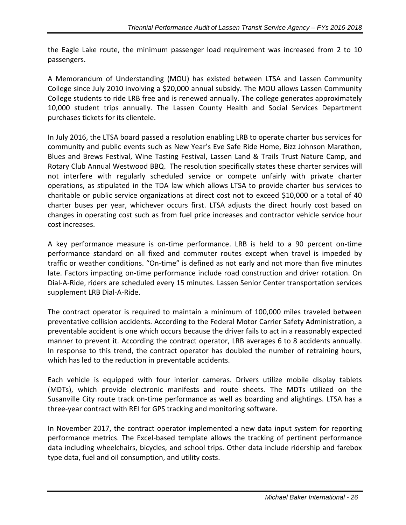the Eagle Lake route, the minimum passenger load requirement was increased from 2 to 10 passengers.

A Memorandum of Understanding (MOU) has existed between LTSA and Lassen Community College since July 2010 involving a \$20,000 annual subsidy. The MOU allows Lassen Community College students to ride LRB free and is renewed annually. The college generates approximately 10,000 student trips annually. The Lassen County Health and Social Services Department purchases tickets for its clientele.

In July 2016, the LTSA board passed a resolution enabling LRB to operate charter bus services for community and public events such as New Year's Eve Safe Ride Home, Bizz Johnson Marathon, Blues and Brews Festival, Wine Tasting Festival, Lassen Land & Trails Trust Nature Camp, and Rotary Club Annual Westwood BBQ. The resolution specifically states these charter services will not interfere with regularly scheduled service or compete unfairly with private charter operations, as stipulated in the TDA law which allows LTSA to provide charter bus services to charitable or public service organizations at direct cost not to exceed \$10,000 or a total of 40 charter buses per year, whichever occurs first. LTSA adjusts the direct hourly cost based on changes in operating cost such as from fuel price increases and contractor vehicle service hour cost increases.

A key performance measure is on-time performance. LRB is held to a 90 percent on-time performance standard on all fixed and commuter routes except when travel is impeded by traffic or weather conditions. "On-time" is defined as not early and not more than five minutes late. Factors impacting on-time performance include road construction and driver rotation. On Dial-A-Ride, riders are scheduled every 15 minutes. Lassen Senior Center transportation services supplement LRB Dial-A-Ride.

The contract operator is required to maintain a minimum of 100,000 miles traveled between preventative collision accidents. According to the Federal Motor Carrier Safety Administration, a preventable accident is one which occurs because the driver fails to act in a reasonably expected manner to prevent it. According the contract operator, LRB averages 6 to 8 accidents annually. In response to this trend, the contract operator has doubled the number of retraining hours, which has led to the reduction in preventable accidents.

Each vehicle is equipped with four interior cameras. Drivers utilize mobile display tablets (MDTs), which provide electronic manifests and route sheets. The MDTs utilized on the Susanville City route track on-time performance as well as boarding and alightings. LTSA has a three-year contract with REI for GPS tracking and monitoring software.

In November 2017, the contract operator implemented a new data input system for reporting performance metrics. The Excel-based template allows the tracking of pertinent performance data including wheelchairs, bicycles, and school trips. Other data include ridership and farebox type data, fuel and oil consumption, and utility costs.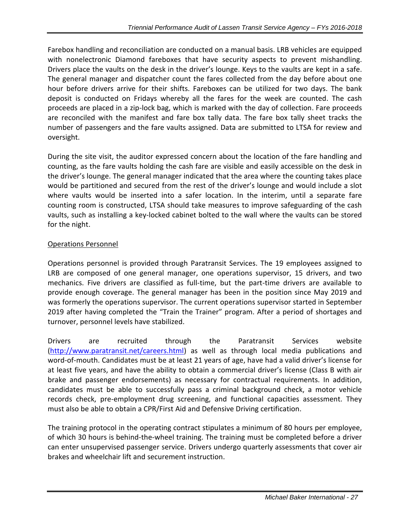<span id="page-28-0"></span>Farebox handling and reconciliation are conducted on a manual basis. LRB vehicles are equipped with nonelectronic Diamond fareboxes that have security aspects to prevent mishandling. Drivers place the vaults on the desk in the driver's lounge. Keys to the vaults are kept in a safe. The general manager and dispatcher count the fares collected from the day before about one hour before drivers arrive for their shifts. Fareboxes can be utilized for two days. The bank deposit is conducted on Fridays whereby all the fares for the week are counted. The cash proceeds are placed in a zip-lock bag, which is marked with the day of collection. Fare proceeds are reconciled with the manifest and fare box tally data. The fare box tally sheet tracks the number of passengers and the fare vaults assigned. Data are submitted to LTSA for review and oversight.

During the site visit, the auditor expressed concern about the location of the fare handling and counting, as the fare vaults holding the cash fare are visible and easily accessible on the desk in the driver's lounge. The general manager indicated that the area where the counting takes place would be partitioned and secured from the rest of the driver's lounge and would include a slot where vaults would be inserted into a safer location. In the interim, until a separate fare counting room is constructed, LTSA should take measures to improve safeguarding of the cash vaults, such as installing a key-locked cabinet bolted to the wall where the vaults can be stored for the night.

### Operations Personnel

Operations personnel is provided through Paratransit Services. The 19 employees assigned to LRB are composed of one general manager, one operations supervisor, 15 drivers, and two mechanics. Five drivers are classified as full-time, but the part-time drivers are available to provide enough coverage. The general manager has been in the position since May 2019 and was formerly the operations supervisor. The current operations supervisor started in September 2019 after having completed the "Train the Trainer" program. After a period of shortages and turnover, personnel levels have stabilized.

Drivers are recruited through the Paratransit Services website [\(http://www.paratransit.net/careers.html\)](http://www.paratransit.net/careers.html) as well as through local media publications and word-of-mouth. Candidates must be at least 21 years of age, have had a valid driver's license for at least five years, and have the ability to obtain a commercial driver's license (Class B with air brake and passenger endorsements) as necessary for contractual requirements. In addition, candidates must be able to successfully pass a criminal background check, a motor vehicle records check, pre-employment drug screening, and functional capacities assessment. They must also be able to obtain a CPR/First Aid and Defensive Driving certification.

The training protocol in the operating contract stipulates a minimum of 80 hours per employee, of which 30 hours is behind-the-wheel training. The training must be completed before a driver can enter unsupervised passenger service. Drivers undergo quarterly assessments that cover air brakes and wheelchair lift and securement instruction.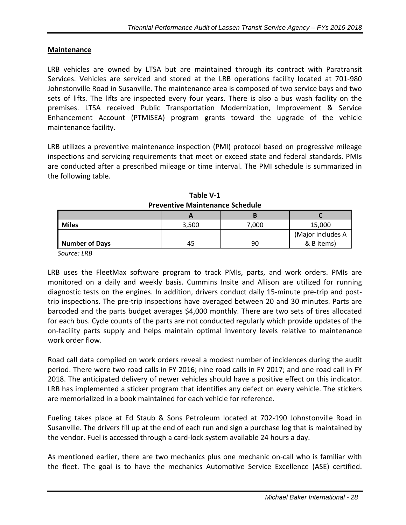#### **Maintenance**

LRB vehicles are owned by LTSA but are maintained through its contract with Paratransit Services. Vehicles are serviced and stored at the LRB operations facility located at 701-980 Johnstonville Road in Susanville. The maintenance area is composed of two service bays and two sets of lifts. The lifts are inspected every four years. There is also a bus wash facility on the premises. LTSA received Public Transportation Modernization, Improvement & Service Enhancement Account (PTMISEA) program grants toward the upgrade of the vehicle maintenance facility.

LRB utilizes a preventive maintenance inspection (PMI) protocol based on progressive mileage inspections and servicing requirements that meet or exceed state and federal standards. PMIs are conducted after a prescribed mileage or time interval. The PMI schedule is summarized in the following table.

| <b>Miles</b>   | 3,500 | 7,000 | 15,000            |
|----------------|-------|-------|-------------------|
|                |       |       | (Major includes A |
| Number of Days | 45    | 90    | & B items)        |

**Table V-1 Preventive Maintenance Schedule**

 *Source: LRB*

LRB uses the FleetMax software program to track PMIs, parts, and work orders. PMIs are monitored on a daily and weekly basis. Cummins Insite and Allison are utilized for running diagnostic tests on the engines. In addition, drivers conduct daily 15-minute pre-trip and posttrip inspections. The pre-trip inspections have averaged between 20 and 30 minutes. Parts are barcoded and the parts budget averages \$4,000 monthly. There are two sets of tires allocated for each bus. Cycle counts of the parts are not conducted regularly which provide updates of the on-facility parts supply and helps maintain optimal inventory levels relative to maintenance work order flow.

Road call data compiled on work orders reveal a modest number of incidences during the audit period. There were two road calls in FY 2016; nine road calls in FY 2017; and one road call in FY 2018. The anticipated delivery of newer vehicles should have a positive effect on this indicator. LRB has implemented a sticker program that identifies any defect on every vehicle. The stickers are memorialized in a book maintained for each vehicle for reference.

Fueling takes place at Ed Staub & Sons Petroleum located at 702-190 Johnstonville Road in Susanville. The drivers fill up at the end of each run and sign a purchase log that is maintained by the vendor. Fuel is accessed through a card-lock system available 24 hours a day.

As mentioned earlier, there are two mechanics plus one mechanic on-call who is familiar with the fleet. The goal is to have the mechanics Automotive Service Excellence (ASE) certified.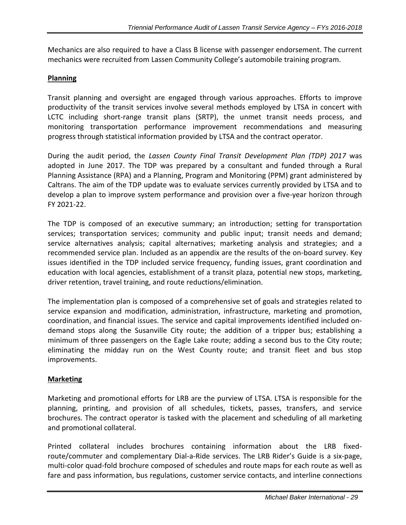Mechanics are also required to have a Class B license with passenger endorsement. The current mechanics were recruited from Lassen Community College's automobile training program.

#### <span id="page-30-0"></span>**Planning**

Transit planning and oversight are engaged through various approaches. Efforts to improve productivity of the transit services involve several methods employed by LTSA in concert with LCTC including short-range transit plans (SRTP), the unmet transit needs process, and monitoring transportation performance improvement recommendations and measuring progress through statistical information provided by LTSA and the contract operator.

During the audit period, the *Lassen County Final Transit Development Plan (TDP) 2017* was adopted in June 2017. The TDP was prepared by a consultant and funded through a Rural Planning Assistance (RPA) and a Planning, Program and Monitoring (PPM) grant administered by Caltrans. The aim of the TDP update was to evaluate services currently provided by LTSA and to develop a plan to improve system performance and provision over a five-year horizon through FY 2021-22.

The TDP is composed of an executive summary; an introduction; setting for transportation services; transportation services; community and public input; transit needs and demand; service alternatives analysis; capital alternatives; marketing analysis and strategies; and a recommended service plan. Included as an appendix are the results of the on-board survey. Key issues identified in the TDP included service frequency, funding issues, grant coordination and education with local agencies, establishment of a transit plaza, potential new stops, marketing, driver retention, travel training, and route reductions/elimination.

The implementation plan is composed of a comprehensive set of goals and strategies related to service expansion and modification, administration, infrastructure, marketing and promotion, coordination, and financial issues. The service and capital improvements identified included ondemand stops along the Susanville City route; the addition of a tripper bus; establishing a minimum of three passengers on the Eagle Lake route; adding a second bus to the City route; eliminating the midday run on the West County route; and transit fleet and bus stop improvements.

#### <span id="page-30-1"></span>**Marketing**

Marketing and promotional efforts for LRB are the purview of LTSA. LTSA is responsible for the planning, printing, and provision of all schedules, tickets, passes, transfers, and service brochures. The contract operator is tasked with the placement and scheduling of all marketing and promotional collateral.

Printed collateral includes brochures containing information about the LRB fixedroute/commuter and complementary Dial-a-Ride services. The LRB Rider's Guide is a six-page, multi‐color quad‐fold brochure composed of schedules and route maps for each route as well as fare and pass information, bus regulations, customer service contacts, and interline connections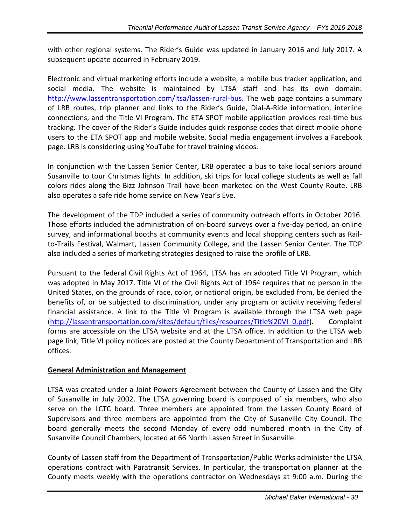with other regional systems. The Rider's Guide was updated in January 2016 and July 2017. A subsequent update occurred in February 2019.

Electronic and virtual marketing efforts include a website, a mobile bus tracker application, and social media. The website is maintained by LTSA staff and has its own domain: [http://www.lassentransportation.com/ltsa/lassen-rural-bus.](http://www.lassentransportation.com/ltsa/lassen-rural-bus) The web page contains a summary of LRB routes, trip planner and links to the Rider's Guide, Dial-A-Ride information, interline connections, and the Title VI Program. The ETA SPOT mobile application provides real-time bus tracking. The cover of the Rider's Guide includes quick response codes that direct mobile phone users to the ETA SPOT app and mobile website. Social media engagement involves a Facebook page. LRB is considering using YouTube for travel training videos.

In conjunction with the Lassen Senior Center, LRB operated a bus to take local seniors around Susanville to tour Christmas lights. In addition, ski trips for local college students as well as fall colors rides along the Bizz Johnson Trail have been marketed on the West County Route. LRB also operates a safe ride home service on New Year's Eve.

The development of the TDP included a series of community outreach efforts in October 2016. Those efforts included the administration of on-board surveys over a five-day period, an online survey, and informational booths at community events and local shopping centers such as Railto-Trails Festival, Walmart, Lassen Community College, and the Lassen Senior Center. The TDP also included a series of marketing strategies designed to raise the profile of LRB.

Pursuant to the federal Civil Rights Act of 1964, LTSA has an adopted Title VI Program, which was adopted in May 2017. Title VI of the Civil Rights Act of 1964 requires that no person in the United States, on the grounds of race, color, or national origin, be excluded from, be denied the benefits of, or be subjected to discrimination, under any program or activity receiving federal financial assistance. A link to the Title VI Program is available through the LTSA web page [\(http://lassentransportation.com/sites/default/files/resources/Title%20VI\\_0.pdf\)](http://lassentransportation.com/sites/default/files/resources/Title%20VI_0.pdf). Complaint forms are accessible on the LTSA website and at the LTSA office. In addition to the LTSA web page link, Title VI policy notices are posted at the County Department of Transportation and LRB offices.

#### <span id="page-31-0"></span>**General Administration and Management**

LTSA was created under a Joint Powers Agreement between the County of Lassen and the City of Susanville in July 2002. The LTSA governing board is composed of six members, who also serve on the LCTC board. Three members are appointed from the Lassen County Board of Supervisors and three members are appointed from the City of Susanville City Council. The board generally meets the second Monday of every odd numbered month in the City of Susanville Council Chambers, located at 66 North Lassen Street in Susanville.

County of Lassen staff from the Department of Transportation/Public Works administer the LTSA operations contract with Paratransit Services. In particular, the transportation planner at the County meets weekly with the operations contractor on Wednesdays at 9:00 a.m. During the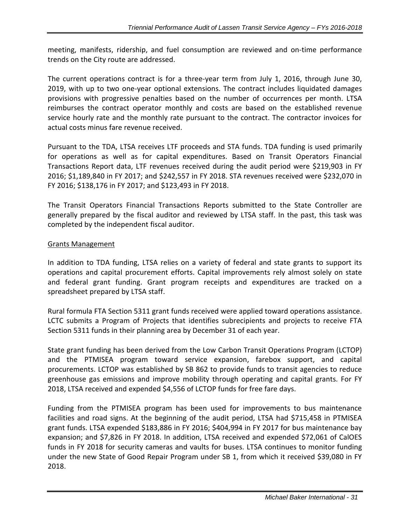meeting, manifests, ridership, and fuel consumption are reviewed and on-time performance trends on the City route are addressed.

The current operations contract is for a three-year term from July 1, 2016, through June 30, 2019, with up to two one-year optional extensions. The contract includes liquidated damages provisions with progressive penalties based on the number of occurrences per month. LTSA reimburses the contract operator monthly and costs are based on the established revenue service hourly rate and the monthly rate pursuant to the contract. The contractor invoices for actual costs minus fare revenue received.

Pursuant to the TDA, LTSA receives LTF proceeds and STA funds. TDA funding is used primarily for operations as well as for capital expenditures. Based on Transit Operators Financial Transactions Report data, LTF revenues received during the audit period were \$219,903 in FY 2016; \$1,189,840 in FY 2017; and \$242,557 in FY 2018. STA revenues received were \$232,070 in FY 2016; \$138,176 in FY 2017; and \$123,493 in FY 2018.

The Transit Operators Financial Transactions Reports submitted to the State Controller are generally prepared by the fiscal auditor and reviewed by LTSA staff. In the past, this task was completed by the independent fiscal auditor.

#### Grants Management

<span id="page-32-0"></span>In addition to TDA funding, LTSA relies on a variety of federal and state grants to support its operations and capital procurement efforts. Capital improvements rely almost solely on state and federal grant funding. Grant program receipts and expenditures are tracked on a spreadsheet prepared by LTSA staff.

Rural formula FTA Section 5311 grant funds received were applied toward operations assistance. LCTC submits a Program of Projects that identifies subrecipients and projects to receive FTA Section 5311 funds in their planning area by December 31 of each year.

State grant funding has been derived from the Low Carbon Transit Operations Program (LCTOP) and the PTMISEA program toward service expansion, farebox support, and capital procurements. LCTOP was established by SB 862 to provide funds to transit agencies to reduce greenhouse gas emissions and improve mobility through operating and capital grants. For FY 2018, LTSA received and expended \$4,556 of LCTOP funds for free fare days.

Funding from the PTMISEA program has been used for improvements to bus maintenance facilities and road signs. At the beginning of the audit period, LTSA had \$715,458 in PTMISEA grant funds. LTSA expended \$183,886 in FY 2016; \$404,994 in FY 2017 for bus maintenance bay expansion; and \$7,826 in FY 2018. In addition, LTSA received and expended \$72,061 of CalOES funds in FY 2018 for security cameras and vaults for buses. LTSA continues to monitor funding under the new State of Good Repair Program under SB 1, from which it received \$39,080 in FY 2018.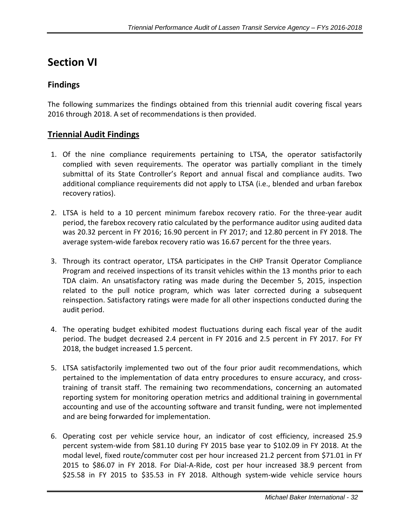# **Section VI**

# <span id="page-33-0"></span>**Findings**

The following summarizes the findings obtained from this triennial audit covering fiscal years 2016 through 2018. A set of recommendations is then provided.

# **Triennial Audit Findings**

- 1. Of the nine compliance requirements pertaining to LTSA, the operator satisfactorily complied with seven requirements. The operator was partially compliant in the timely submittal of its State Controller's Report and annual fiscal and compliance audits. Two additional compliance requirements did not apply to LTSA (i.e., blended and urban farebox recovery ratios).
- 2. LTSA is held to a 10 percent minimum farebox recovery ratio. For the three-year audit period, the farebox recovery ratio calculated by the performance auditor using audited data was 20.32 percent in FY 2016; 16.90 percent in FY 2017; and 12.80 percent in FY 2018. The average system-wide farebox recovery ratio was 16.67 percent for the three years.
- 3. Through its contract operator, LTSA participates in the CHP Transit Operator Compliance Program and received inspections of its transit vehicles within the 13 months prior to each TDA claim. An unsatisfactory rating was made during the December 5, 2015, inspection related to the pull notice program, which was later corrected during a subsequent reinspection. Satisfactory ratings were made for all other inspections conducted during the audit period.
- 4. The operating budget exhibited modest fluctuations during each fiscal year of the audit period. The budget decreased 2.4 percent in FY 2016 and 2.5 percent in FY 2017. For FY 2018, the budget increased 1.5 percent.
- 5. LTSA satisfactorily implemented two out of the four prior audit recommendations, which pertained to the implementation of data entry procedures to ensure accuracy, and crosstraining of transit staff. The remaining two recommendations, concerning an automated reporting system for monitoring operation metrics and additional training in governmental accounting and use of the accounting software and transit funding, were not implemented and are being forwarded for implementation.
- 6. Operating cost per vehicle service hour, an indicator of cost efficiency, increased 25.9 percent system-wide from \$81.10 during FY 2015 base year to \$102.09 in FY 2018. At the modal level, fixed route/commuter cost per hour increased 21.2 percent from \$71.01 in FY 2015 to \$86.07 in FY 2018. For Dial-A-Ride, cost per hour increased 38.9 percent from \$25.58 in FY 2015 to \$35.53 in FY 2018. Although system-wide vehicle service hours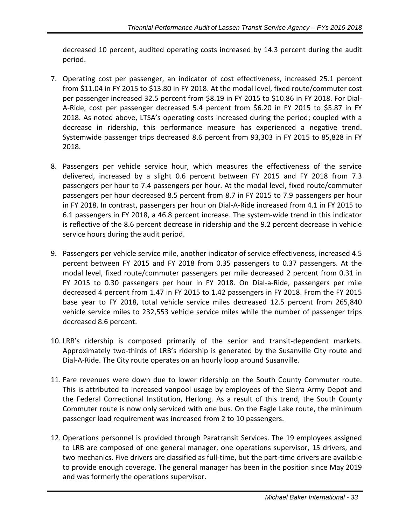decreased 10 percent, audited operating costs increased by 14.3 percent during the audit period.

- 7. Operating cost per passenger, an indicator of cost effectiveness, increased 25.1 percent from \$11.04 in FY 2015 to \$13.80 in FY 2018. At the modal level, fixed route/commuter cost per passenger increased 32.5 percent from \$8.19 in FY 2015 to \$10.86 in FY 2018. For Dial-A-Ride, cost per passenger decreased 5.4 percent from \$6.20 in FY 2015 to \$5.87 in FY 2018. As noted above, LTSA's operating costs increased during the period; coupled with a decrease in ridership, this performance measure has experienced a negative trend. Systemwide passenger trips decreased 8.6 percent from 93,303 in FY 2015 to 85,828 in FY 2018.
- 8. Passengers per vehicle service hour, which measures the effectiveness of the service delivered, increased by a slight 0.6 percent between FY 2015 and FY 2018 from 7.3 passengers per hour to 7.4 passengers per hour. At the modal level, fixed route/commuter passengers per hour decreased 8.5 percent from 8.7 in FY 2015 to 7.9 passengers per hour in FY 2018. In contrast, passengers per hour on Dial-A-Ride increased from 4.1 in FY 2015 to 6.1 passengers in FY 2018, a 46.8 percent increase. The system-wide trend in this indicator is reflective of the 8.6 percent decrease in ridership and the 9.2 percent decrease in vehicle service hours during the audit period.
- 9. Passengers per vehicle service mile, another indicator of service effectiveness, increased 4.5 percent between FY 2015 and FY 2018 from 0.35 passengers to 0.37 passengers. At the modal level, fixed route/commuter passengers per mile decreased 2 percent from 0.31 in FY 2015 to 0.30 passengers per hour in FY 2018. On Dial-a-Ride, passengers per mile decreased 4 percent from 1.47 in FY 2015 to 1.42 passengers in FY 2018. From the FY 2015 base year to FY 2018, total vehicle service miles decreased 12.5 percent from 265,840 vehicle service miles to 232,553 vehicle service miles while the number of passenger trips decreased 8.6 percent.
- 10. LRB's ridership is composed primarily of the senior and transit-dependent markets. Approximately two-thirds of LRB's ridership is generated by the Susanville City route and Dial-A-Ride. The City route operates on an hourly loop around Susanville.
- 11. Fare revenues were down due to lower ridership on the South County Commuter route. This is attributed to increased vanpool usage by employees of the Sierra Army Depot and the Federal Correctional Institution, Herlong. As a result of this trend, the South County Commuter route is now only serviced with one bus. On the Eagle Lake route, the minimum passenger load requirement was increased from 2 to 10 passengers.
- 12. Operations personnel is provided through Paratransit Services. The 19 employees assigned to LRB are composed of one general manager, one operations supervisor, 15 drivers, and two mechanics. Five drivers are classified as full-time, but the part-time drivers are available to provide enough coverage. The general manager has been in the position since May 2019 and was formerly the operations supervisor.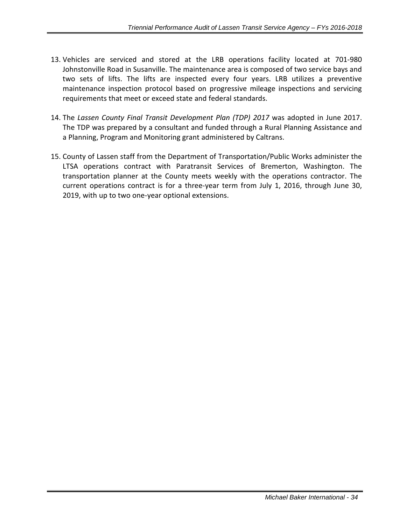- 13. Vehicles are serviced and stored at the LRB operations facility located at 701-980 Johnstonville Road in Susanville. The maintenance area is composed of two service bays and two sets of lifts. The lifts are inspected every four years. LRB utilizes a preventive maintenance inspection protocol based on progressive mileage inspections and servicing requirements that meet or exceed state and federal standards.
- 14. The *Lassen County Final Transit Development Plan (TDP) 2017* was adopted in June 2017. The TDP was prepared by a consultant and funded through a Rural Planning Assistance and a Planning, Program and Monitoring grant administered by Caltrans.
- 15. County of Lassen staff from the Department of Transportation/Public Works administer the LTSA operations contract with Paratransit Services of Bremerton, Washington. The transportation planner at the County meets weekly with the operations contractor. The current operations contract is for a three-year term from July 1, 2016, through June 30, 2019, with up to two one-year optional extensions.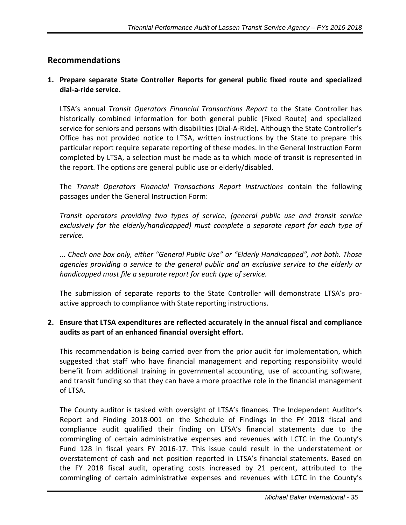### <span id="page-36-0"></span>**Recommendations**

#### **1. Prepare separate State Controller Reports for general public fixed route and specialized dial-a-ride service.**

LTSA's annual *Transit Operators Financial Transactions Report* to the State Controller has historically combined information for both general public (Fixed Route) and specialized service for seniors and persons with disabilities (Dial-A-Ride). Although the State Controller's Office has not provided notice to LTSA, written instructions by the State to prepare this particular report require separate reporting of these modes. In the General Instruction Form completed by LTSA, a selection must be made as to which mode of transit is represented in the report. The options are general public use or elderly/disabled.

The *Transit Operators Financial Transactions Report Instructions* contain the following passages under the General Instruction Form:

*Transit operators providing two types of service, (general public use and transit service exclusively for the elderly/handicapped) must complete a separate report for each type of service.* 

*... Check one box only, either "General Public Use" or "Elderly Handicapped", not both. Those agencies providing a service to the general public and an exclusive service to the elderly or handicapped must file a separate report for each type of service.*

The submission of separate reports to the State Controller will demonstrate LTSA's proactive approach to compliance with State reporting instructions.

#### **2. Ensure that LTSA expenditures are reflected accurately in the annual fiscal and compliance audits as part of an enhanced financial oversight effort.**

This recommendation is being carried over from the prior audit for implementation, which suggested that staff who have financial management and reporting responsibility would benefit from additional training in governmental accounting, use of accounting software, and transit funding so that they can have a more proactive role in the financial management of LTSA.

The County auditor is tasked with oversight of LTSA's finances. The Independent Auditor's Report and Finding 2018-001 on the Schedule of Findings in the FY 2018 fiscal and compliance audit qualified their finding on LTSA's financial statements due to the commingling of certain administrative expenses and revenues with LCTC in the County's Fund 128 in fiscal years FY 2016-17. This issue could result in the understatement or overstatement of cash and net position reported in LTSA's financial statements. Based on the FY 2018 fiscal audit, operating costs increased by 21 percent, attributed to the commingling of certain administrative expenses and revenues with LCTC in the County's